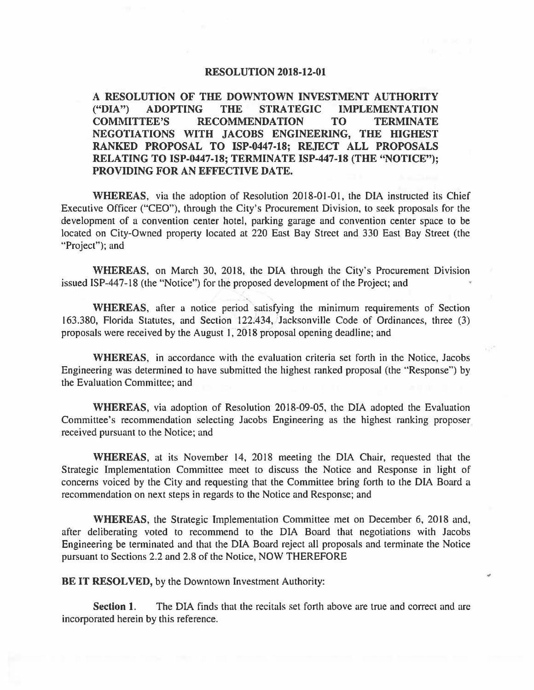## **RESOLUTION 2018-12-01**

**A RESOLUTION OF THE DOWNTOWN INVESTMENT AUTHORITY ("DIA") ADOPTING THE STRATEGIC IMPLEMENTATION COMMITTEE'S RECOMMENDATION TO TERMINATE NEGOTIATIONS WITH JACOBS ENGINEERING, THE HIGHEST RANKED PROPOSAL TO ISP-0447-18; REJECT ALL PROPOSALS RELATING TO ISP-0447-18; TERMINATE ISP-447-18 (THE "NOTICE"); PROVIDING FOR AN EFFECTIVE DATE.** 

**WHEREAS,** via the adoption of Resolution 2018-01-01, the DIA instructed its Chief Executive Officer ("CEO"), through the City's Procurement Division, to seek proposals for the development of a convention center hotel, parking garage and convention center space to be located on City-Owned property located at 220 East Bay Street and 330 East Bay Street (the "Project"); and

**WHEREAS,** on March 30, 2018, the DIA through the City's Procurement Division issued ISP-447-18 (the "Notice") for the proposed development of the Project; and <sup>~</sup>

**WHEREAS,** after a notice period satisfying the minimum requirements of Section 163.380, Florida Statutes, and Section 122.434, Jacksonville Code of Ordinances, three (3) proposals were received by the August I, 2018 proposal opening deadline; and

**WHEREAS,** in accordance with the evaluation criteria set forth in the Notice, Jacobs Engineering was determined to have submitted the highest ranked proposal (the "Response") by the Evaluation Committee; and

**WHEREAS,** via adoption of Resolution 2018-09-05, the DIA adopted the Evaluation Committee's recommendation selecting Jacobs Engineering as the highest ranking proposer received pursuant to the Notice; and

**WHEREAS,** at its November 14, 2018 meeting the DIA Chair, requested that the Strategic Implementation Committee meet to discuss the Notice and Response in light of concerns voiced by the City and requesting that the Committee bring forth to the DIA Board a recommendation on next steps in regards to the Notice and Response; and

**WHEREAS,** the Strategic Implementation Committee met on December 6, 2018 and, after deliberating voted to recommend to the DIA Board that negotiations with Jacobs Engineering be terminated and that the DIA Board reject all proposals and terminate the Notice pursuant to Sections 2.2 and 2.8 of the Notice, NOW THEREFORE

 $\overline{a}$ 

**BE IT RESOLVED, by the Downtown Investment Authority:** 

**Section 1.** The DIA finds that the recitals set forth above are true and correct and are incorporated herein by this reference.